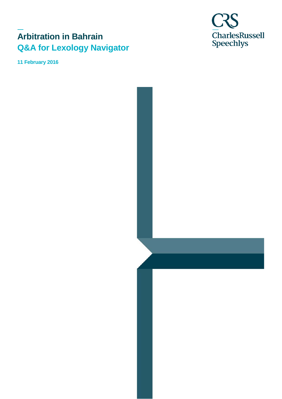# **Arbitration in Bahrain Q&A for Lexology Navigator**

**11 February 2016**

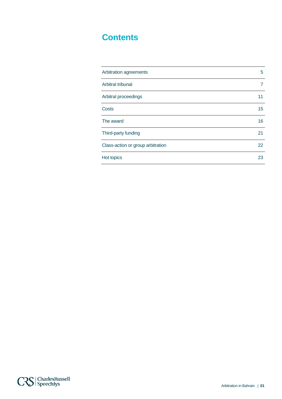# **Contents**

| Arbitration agreements            | 5  |
|-----------------------------------|----|
| Arbitral tribunal                 |    |
| Arbitral proceedings              | 11 |
| Costs                             | 15 |
| The award                         | 16 |
| Third-party funding               | 21 |
| Class-action or group arbitration | 22 |
| Hot topics                        | 23 |

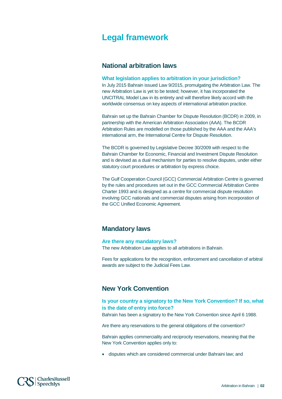# **Legal framework**

## **National arbitration laws**

#### **What legislation applies to arbitration in your jurisdiction?**

In July 2015 Bahrain issued Law 9/2015, promulgating the Arbitration Law. The new Arbitration Law is yet to be tested; however, it has incorporated the UNCITRAL Model Law in its entirety and will therefore likely accord with the worldwide consensus on key aspects of international arbitration practice.

Bahrain set up the Bahrain Chamber for Dispute Resolution (BCDR) in 2009, in partnership with the American Arbitration Association (AAA). The BCDR Arbitration Rules are modelled on those published by the AAA and the AAA's international arm, the International Centre for Dispute Resolution.

The BCDR is governed by Legislative Decree 30/2009 with respect to the Bahrain Chamber for Economic, Financial and Investment Dispute Resolution and is devised as a dual mechanism for parties to resolve disputes, under either statutory court procedures or arbitration by express choice.

The Gulf Cooperation Council (GCC) Commercial Arbitration Centre is governed by the rules and procedures set out in the GCC Commercial Arbitration Centre Charter 1993 and is designed as a centre for commercial dispute resolution involving GCC nationals and commercial disputes arising from incorporation of the GCC Unified Economic Agreement.

# **Mandatory laws**

#### **Are there any mandatory laws?**

The new Arbitration Law applies to all arbitrations in Bahrain.

Fees for applications for the recognition, enforcement and cancellation of arbitral awards are subject to the Judicial Fees Law.

### **New York Convention**

### **Is your country a signatory to the New York Convention? If so, what is the date of entry into force?**

Bahrain has been a signatory to the New York Convention since April 6 1988.

Are there any reservations to the general obligations of the convention?

Bahrain applies commerciality and reciprocity reservations, meaning that the New York Convention applies only to:

• disputes which are considered commercial under Bahraini law; and

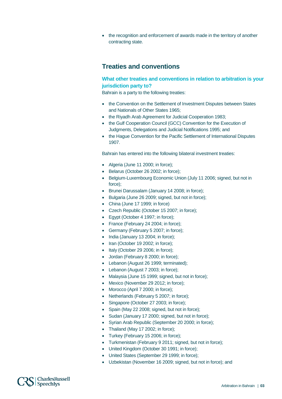• the recognition and enforcement of awards made in the territory of another contracting state.

# **Treaties and conventions**

### **What other treaties and conventions in relation to arbitration is your jurisdiction party to?**

Bahrain is a party to the following treaties:

- the Convention on the Settlement of Investment Disputes between States and Nationals of Other States 1965;
- the Riyadh Arab Agreement for Judicial Cooperation 1983;
- the Gulf Cooperation Council (GCC) Convention for the Execution of Judgments, Delegations and Judicial Notifications 1995; and
- the Hague Convention for the Pacific Settlement of International Disputes 1907.

Bahrain has entered into the following bilateral investment treaties:

- Algeria (June 11 2000; in force);
- Belarus (October 26 2002; in force);
- Belgium-Luxembourg Economic Union (July 11 2006; signed, but not in force);
- Brunei Darussalam (January 14 2008; in force);
- Bulgaria (June 26 2009; signed, but not in force);
- China (June 17 1999; in force)
- Czech Republic (October 15 2007; in force);
- Egypt (October 4 1997; in force);
- France (February 24 2004; in force);
- Germany (February 5 2007; in force);
- India (January 13 2004; in force);
- Iran (October 19 2002; in force);
- Italy (October 29 2006; in force);
- Jordan (February 8 2000; in force);
- Lebanon (August 26 1999; terminated);
- Lebanon (August 7 2003; in force);
- Malaysia (June 15 1999; signed, but not in force);
- Mexico (November 29 2012; in force);
- Morocco (April 7 2000; in force);
- Netherlands (February 5 2007; in force);
- Singapore (October 27 2003; in force);
- Spain (May 22 2008; signed, but not in force);
- Sudan (January 17 2000; signed, but not in force);
- Syrian Arab Republic (September 20 2000; in force);
- Thailand (May 17 2002; in force);
- Turkey (February 15 2006; in force);
- Turkmenistan (February 9 2011; signed, but not in force);
- United Kingdom (October 30 1991; in force);
- United States (September 29 1999; in force);
- Uzbekistan (November 16 2009; signed, but not in force); and

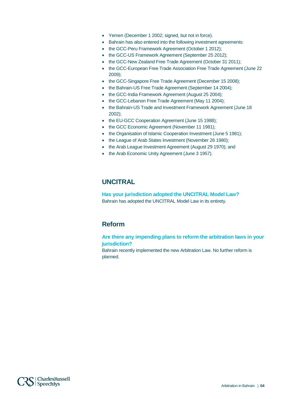- Yemen (December 1 2002; signed, but not in force).
- Bahrain has also entered into the following investment agreements:
- the GCC-Peru Framework Agreement (October 1 2012);
- the GCC-US Framework Agreement (September 25 2012);
- the GCC-New Zealand Free Trade Agreement (October 31 2011);
- the GCC-European Free Trade Association Free Trade Agreement (June 22 2009);
- the GCC-Singapore Free Trade Agreement (December 15 2008);
- the Bahrain-US Free Trade Agreement (September 14 2004);
- the GCC-India Framework Agreement (August 25 2004);
- the GCC-Lebanon Free Trade Agreement (May 11 2004);
- the Bahrain-US Trade and Investment Framework Agreement (June 18 2002);
- the EU-GCC Cooperation Agreement (June 15 1988);
- the GCC Economic Agreement (November 11 1981);
- the Organisation of Islamic Cooperation Investment (June 5 1981);
- the League of Arab States Investment (November 26 1980);
- the Arab League Investment Agreement (August 29 1970); and
- the Arab Economic Unity Agreement (June 3 1957).

# **UNCITRAL**

**Has your jurisdiction adopted the UNCITRAL Model Law?** Bahrain has adopted the UNCITRAL Model Law in its entirety.

## **Reform**

### **Are there any impending plans to reform the arbitration laws in your jurisdiction?**

Bahrain recently implemented the new Arbitration Law. No further reform is planned.

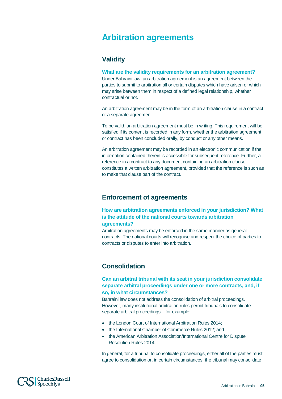# <span id="page-5-0"></span>**Arbitration agreements**

# **Validity**

### **What are the validity requirements for an arbitration agreement?**

Under Bahraini law, an arbitration agreement is an agreement between the parties to submit to arbitration all or certain disputes which have arisen or which may arise between them in respect of a defined legal relationship, whether contractual or not.

An arbitration agreement may be in the form of an arbitration clause in a contract or a separate agreement.

To be valid, an arbitration agreement must be in writing. This requirement will be satisfied if its content is recorded in any form, whether the arbitration agreement or contract has been concluded orally, by conduct or any other means.

An arbitration agreement may be recorded in an electronic communication if the information contained therein is accessible for subsequent reference. Further, a reference in a contract to any document containing an arbitration clause constitutes a written arbitration agreement, provided that the reference is such as to make that clause part of the contract.

### **Enforcement of agreements**

**How are arbitration agreements enforced in your jurisdiction? What is the attitude of the national courts towards arbitration agreements?**

Arbitration agreements may be enforced in the same manner as general contracts. The national courts will recognise and respect the choice of parties to contracts or disputes to enter into arbitration.

# **Consolidation**

**Can an arbitral tribunal with its seat in your jurisdiction consolidate separate arbitral proceedings under one or more contracts, and, if so, in what circumstances?**

Bahraini law does not address the consolidation of arbitral proceedings. However, many institutional arbitration rules permit tribunals to consolidate separate arbitral proceedings – for example:

- the London Court of International Arbitration Rules 2014;
- the International Chamber of Commerce Rules 2012; and
- the American Arbitration Association/International Centre for Dispute Resolution Rules 2014.

In general, for a tribunal to consolidate proceedings, either all of the parties must agree to consolidation or, in certain circumstances, the tribunal may consolidate

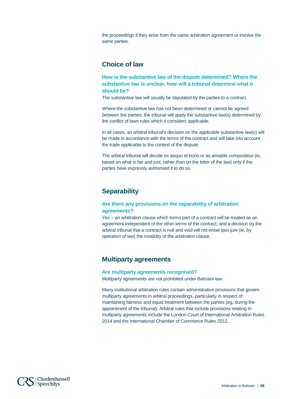the proceedings if they arise from the same arbitration agreement or involve the same parties.

### **Choice of law**

**How is the substantive law of the dispute determined? Where the substantive law is unclear, how will a tribunal determine what it should be?**

The substantive law will usually be stipulated by the parties to a contract.

Where the substantive law has not been determined or cannot be agreed between the parties, the tribunal will apply the substantive law(s) determined by the conflict of laws rules which it considers applicable.

In all cases, an arbitral tribunal's decision on the applicable substantive law(s) will be made in accordance with the terms of the contract and will take into account the trade applicable to the context of the dispute.

The arbitral tribunal will decide ex aequo et bono or as amiable compositeur (ie, based on what is fair and just, rather than on the letter of the law) only if the parties have expressly authorised it to do so.

# **Separability**

### **Are there any provisions on the separability of arbitration agreements?**

Yes – an arbitration clause which forms part of a contract will be treated as an agreement independent of the other terms of the contract, and a decision by the arbitral tribunal that a contract is null and void will not entail ipso jure (ie, by operation of law) the invalidity of the arbitration clause.

# **Multiparty agreements**

### **Are multiparty agreements recognised?**

Multiparty agreements are not prohibited under Bahraini law.

Many institutional arbitration rules contain administrative provisions that govern multiparty agreements in arbitral proceedings, particularly in respect of maintaining fairness and equal treatment between the parties (eg, during the appointment of the tribunal). Arbitral rules that include provisions relating to multiparty agreements include the London Court of International Arbitration Rules 2014 and the International Chamber of Commerce Rules 2012.

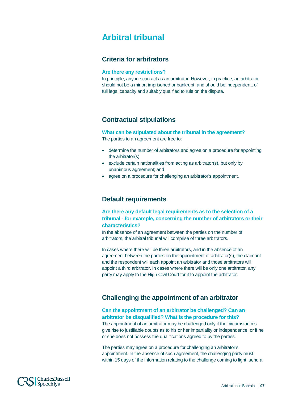# <span id="page-7-0"></span>**Arbitral tribunal**

## **Criteria for arbitrators**

### **Are there any restrictions?**

In principle, anyone can act as an arbitrator. However, in practice, an arbitrator should not be a minor, imprisoned or bankrupt, and should be independent, of full legal capacity and suitably qualified to rule on the dispute.

## **Contractual stipulations**

**What can be stipulated about the tribunal in the agreement?**

The parties to an agreement are free to:

- determine the number of arbitrators and agree on a procedure for appointing the arbitrator(s);
- exclude certain nationalities from acting as arbitrator(s), but only by unanimous agreement; and
- agree on a procedure for challenging an arbitrator's appointment.

## **Default requirements**

**Are there any default legal requirements as to the selection of a tribunal - for example, concerning the number of arbitrators or their characteristics?**

In the absence of an agreement between the parties on the number of arbitrators, the arbitral tribunal will comprise of three arbitrators.

In cases where there will be three arbitrators, and in the absence of an agreement between the parties on the appointment of arbitrator(s), the claimant and the respondent will each appoint an arbitrator and those arbitrators will appoint a third arbitrator. In cases where there will be only one arbitrator, any party may apply to the High Civil Court for it to appoint the arbitrator.

# **Challenging the appointment of an arbitrator**

### **Can the appointment of an arbitrator be challenged? Can an arbitrator be disqualified? What is the procedure for this?**

The appointment of an arbitrator may be challenged only if the circumstances give rise to justifiable doubts as to his or her impartiality or independence, or if he or she does not possess the qualifications agreed to by the parties.

The parties may agree on a procedure for challenging an arbitrator's appointment. In the absence of such agreement, the challenging party must, within 15 days of the information relating to the challenge coming to light, send a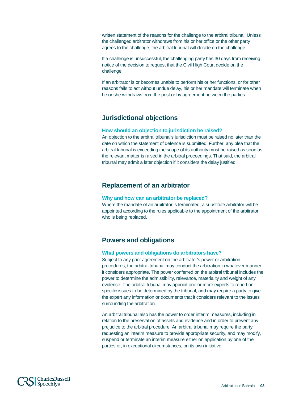written statement of the reasons for the challenge to the arbitral tribunal. Unless the challenged arbitrator withdraws from his or her office or the other party agrees to the challenge, the arbitral tribunal will decide on the challenge.

If a challenge is unsuccessful, the challenging party has 30 days from receiving notice of the decision to request that the Civil High Court decide on the challenge.

If an arbitrator is or becomes unable to perform his or her functions, or for other reasons fails to act without undue delay, his or her mandate will terminate when he or she withdraws from the post or by agreement between the parties.

## **Jurisdictional objections**

### **How should an objection to jurisdiction be raised?**

An objection to the arbitral tribunal's jurisdiction must be raised no later than the date on which the statement of defence is submitted. Further, any plea that the arbitral tribunal is exceeding the scope of its authority must be raised as soon as the relevant matter is raised in the arbitral proceedings. That said, the arbitral tribunal may admit a later objection if it considers the delay justified.

# **Replacement of an arbitrator**

### **Why and how can an arbitrator be replaced?**

Where the mandate of an arbitrator is terminated, a substitute arbitrator will be appointed according to the rules applicable to the appointment of the arbitrator who is being replaced.

# **Powers and obligations**

### **What powers and obligations do arbitrators have?**

Subject to any prior agreement on the arbitrator's power or arbitration procedures, the arbitral tribunal may conduct the arbitration in whatever manner it considers appropriate. The power conferred on the arbitral tribunal includes the power to determine the admissibility, relevance, materiality and weight of any evidence. The arbitral tribunal may appoint one or more experts to report on specific issues to be determined by the tribunal, and may require a party to give the expert any information or documents that it considers relevant to the issues surrounding the arbitration.

An arbitral tribunal also has the power to order interim measures, including in relation to the preservation of assets and evidence and in order to prevent any prejudice to the arbitral procedure. An arbitral tribunal may require the party requesting an interim measure to provide appropriate security, and may modify, suspend or terminate an interim measure either on application by one of the parties or, in exceptional circumstances, on its own initiative.

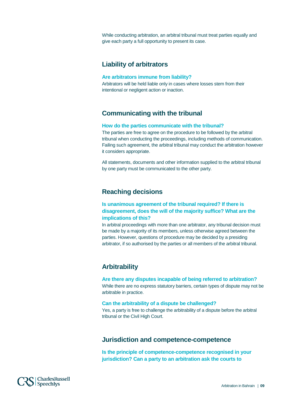While conducting arbitration, an arbitral tribunal must treat parties equally and give each party a full opportunity to present its case.

# **Liability of arbitrators**

### **Are arbitrators immune from liability?**

Arbitrators will be held liable only in cases where losses stem from their intentional or negligent action or inaction.

# **Communicating with the tribunal**

### **How do the parties communicate with the tribunal?**

The parties are free to agree on the procedure to be followed by the arbitral tribunal when conducting the proceedings, including methods of communication. Failing such agreement, the arbitral tribunal may conduct the arbitration however it considers appropriate.

All statements, documents and other information supplied to the arbitral tribunal by one party must be communicated to the other party.

# **Reaching decisions**

### **Is unanimous agreement of the tribunal required? If there is disagreement, does the will of the majority suffice? What are the implications of this?**

In arbitral proceedings with more than one arbitrator, any tribunal decision must be made by a majority of its members, unless otherwise agreed between the parties. However, questions of procedure may be decided by a presiding arbitrator, if so authorised by the parties or all members of the arbitral tribunal.

# **Arbitrability**

# **Are there any disputes incapable of being referred to arbitration?**

While there are no express statutory barriers, certain types of dispute may not be arbitrable in practice.

### **Can the arbitrability of a dispute be challenged?**

Yes, a party is free to challenge the arbitrability of a dispute before the arbitral tribunal or the Civil High Court.

# **Jurisdiction and competence-competence**

**Is the principle of competence-competence recognised in your jurisdiction? Can a party to an arbitration ask the courts to** 

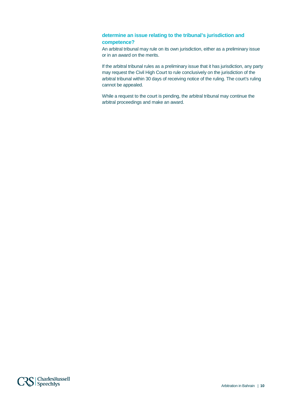### **determine an issue relating to the tribunal's jurisdiction and competence?**

An arbitral tribunal may rule on its own jurisdiction, either as a preliminary issue or in an award on the merits.

If the arbitral tribunal rules as a preliminary issue that it has jurisdiction, any party may request the Civil High Court to rule conclusively on the jurisdiction of the arbitral tribunal within 30 days of receiving notice of the ruling. The court's ruling cannot be appealed.

While a request to the court is pending, the arbitral tribunal may continue the arbitral proceedings and make an award.

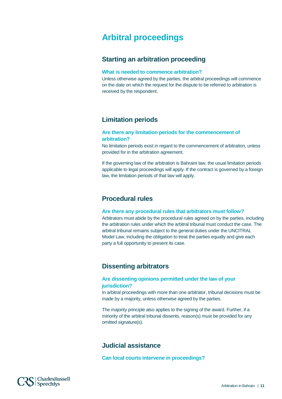# <span id="page-11-0"></span>**Arbitral proceedings**

# **Starting an arbitration proceeding**

#### **What is needed to commence arbitration?**

Unless otherwise agreed by the parties, the arbitral proceedings will commence on the date on which the request for the dispute to be referred to arbitration is received by the respondent.

# **Limitation periods**

### **Are there any limitation periods for the commencement of arbitration?**

No limitation periods exist in regard to the commencement of arbitration, unless provided for in the arbitration agreement.

If the governing law of the arbitration is Bahraini law, the usual limitation periods applicable to legal proceedings will apply. If the contract is governed by a foreign law, the limitation periods of that law will apply.

# **Procedural rules**

### **Are there any procedural rules that arbitrators must follow?**

Arbitrators must abide by the procedural rules agreed on by the parties, including the arbitration rules under which the arbitral tribunal must conduct the case. The arbitral tribunal remains subject to the general duties under the UNCITRAL Model Law, including the obligation to treat the parties equally and give each party a full opportunity to present its case.

# **Dissenting arbitrators**

### **Are dissenting opinions permitted under the law of your jurisdiction?**

In arbitral proceedings with more than one arbitrator, tribunal decisions must be made by a majority, unless otherwise agreed by the parties.

The majority principle also applies to the signing of the award. Further, if a minority of the arbitral tribunal dissents, reason(s) must be provided for any omitted signature(s).

# **Judicial assistance**

**Can local courts intervene in proceedings?**

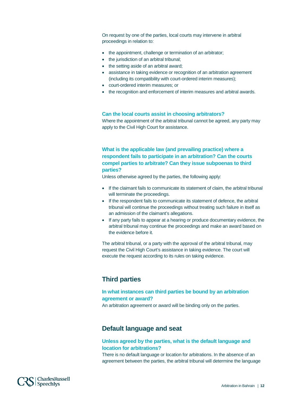On request by one of the parties, local courts may intervene in arbitral proceedings in relation to:

- the appointment, challenge or termination of an arbitrator;
- the jurisdiction of an arbitral tribunal;
- the setting aside of an arbitral award;
- assistance in taking evidence or recognition of an arbitration agreement (including its compatibility with court-ordered interim measures);
- court-ordered interim measures; or
- the recognition and enforcement of interim measures and arbitral awards.

#### **Can the local courts assist in choosing arbitrators?**

Where the appointment of the arbitral tribunal cannot be agreed, any party may apply to the Civil High Court for assistance.

**What is the applicable law (and prevailing practice) where a respondent fails to participate in an arbitration? Can the courts compel parties to arbitrate? Can they issue subpoenas to third parties?**

Unless otherwise agreed by the parties, the following apply:

- If the claimant fails to communicate its statement of claim, the arbitral tribunal will terminate the proceedings.
- If the respondent fails to communicate its statement of defence, the arbitral tribunal will continue the proceedings without treating such failure in itself as an admission of the claimant's allegations.
- If any party fails to appear at a hearing or produce documentary evidence, the arbitral tribunal may continue the proceedings and make an award based on the evidence before it.

The arbitral tribunal, or a party with the approval of the arbitral tribunal, may request the Civil High Court's assistance in taking evidence. The court will execute the request according to its rules on taking evidence.

### **Third parties**

### **In what instances can third parties be bound by an arbitration agreement or award?**

An arbitration agreement or award will be binding only on the parties.

### **Default language and seat**

### **Unless agreed by the parties, what is the default language and location for arbitrations?**

There is no default language or location for arbitrations. In the absence of an agreement between the parties, the arbitral tribunal will determine the language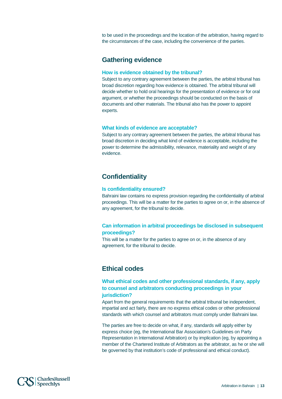to be used in the proceedings and the location of the arbitration, having regard to the circumstances of the case, including the convenience of the parties.

## **Gathering evidence**

#### **How is evidence obtained by the tribunal?**

Subject to any contrary agreement between the parties, the arbitral tribunal has broad discretion regarding how evidence is obtained. The arbitral tribunal will decide whether to hold oral hearings for the presentation of evidence or for oral argument, or whether the proceedings should be conducted on the basis of documents and other materials. The tribunal also has the power to appoint experts.

#### **What kinds of evidence are acceptable?**

Subject to any contrary agreement between the parties, the arbitral tribunal has broad discretion in deciding what kind of evidence is acceptable, including the power to determine the admissibility, relevance, materiality and weight of any evidence.

# **Confidentiality**

### **Is confidentiality ensured?**

Bahraini law contains no express provision regarding the confidentiality of arbitral proceedings. This will be a matter for the parties to agree on or, in the absence of any agreement, for the tribunal to decide.

### **Can information in arbitral proceedings be disclosed in subsequent proceedings?**

This will be a matter for the parties to agree on or, in the absence of any agreement, for the tribunal to decide.

# **Ethical codes**

**What ethical codes and other professional standards, if any, apply to counsel and arbitrators conducting proceedings in your jurisdiction?**

Apart from the general requirements that the arbitral tribunal be independent, impartial and act fairly, there are no express ethical codes or other professional standards with which counsel and arbitrators must comply under Bahraini law.

The parties are free to decide on what, if any, standards will apply either by express choice (eg, the International Bar Association's Guidelines on Party Representation in International Arbitration) or by implication (eg, by appointing a member of the Chartered Institute of Arbitrators as the arbitrator, as he or she will be governed by that institution's code of professional and ethical conduct).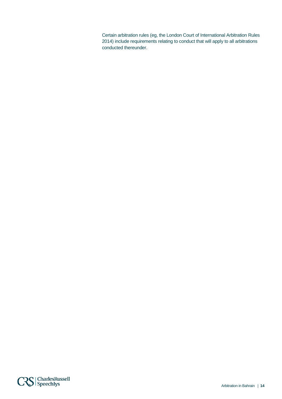Certain arbitration rules (eg, the London Court of International Arbitration Rules 2014) include requirements relating to conduct that will apply to all arbitrations conducted thereunder.

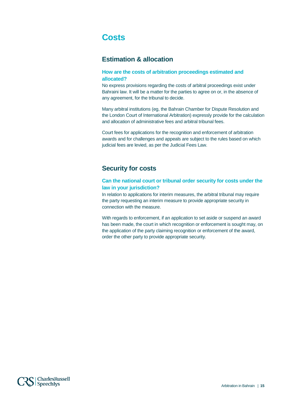# <span id="page-15-0"></span>**Costs**

# **Estimation & allocation**

### **How are the costs of arbitration proceedings estimated and allocated?**

No express provisions regarding the costs of arbitral proceedings exist under Bahraini law. It will be a matter for the parties to agree on or, in the absence of any agreement, for the tribunal to decide.

Many arbitral institutions (eg, the Bahrain Chamber for Dispute Resolution and the London Court of International Arbitration) expressly provide for the calculation and allocation of administrative fees and arbitral tribunal fees.

Court fees for applications for the recognition and enforcement of arbitration awards and for challenges and appeals are subject to the rules based on which judicial fees are levied, as per the Judicial Fees Law.

# **Security for costs**

### **Can the national court or tribunal order security for costs under the law in your jurisdiction?**

In relation to applications for interim measures, the arbitral tribunal may require the party requesting an interim measure to provide appropriate security in connection with the measure.

With regards to enforcement, if an application to set aside or suspend an award has been made, the court in which recognition or enforcement is sought may, on the application of the party claiming recognition or enforcement of the award, order the other party to provide appropriate security.

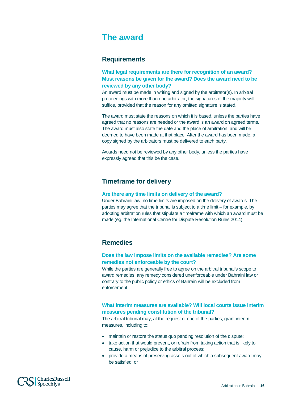# <span id="page-16-0"></span>**The award**

## **Requirements**

**What legal requirements are there for recognition of an award? Must reasons be given for the award? Does the award need to be reviewed by any other body?**

An award must be made in writing and signed by the arbitrator(s). In arbitral proceedings with more than one arbitrator, the signatures of the majority will suffice, provided that the reason for any omitted signature is stated.

The award must state the reasons on which it is based, unless the parties have agreed that no reasons are needed or the award is an award on agreed terms. The award must also state the date and the place of arbitration, and will be deemed to have been made at that place. After the award has been made, a copy signed by the arbitrators must be delivered to each party.

Awards need not be reviewed by any other body, unless the parties have expressly agreed that this be the case.

# **Timeframe for delivery**

### **Are there any time limits on delivery of the award?**

Under Bahraini law, no time limits are imposed on the delivery of awards. The parties may agree that the tribunal is subject to a time limit – for example, by adopting arbitration rules that stipulate a timeframe with which an award must be made (eg, the International Centre for Dispute Resolution Rules 2014).

### **Remedies**

### **Does the law impose limits on the available remedies? Are some remedies not enforceable by the court?**

While the parties are generally free to agree on the arbitral tribunal's scope to award remedies, any remedy considered unenforceable under Bahraini law or contrary to the public policy or ethics of Bahrain will be excluded from enforcement.

### **What interim measures are available? Will local courts issue interim measures pending constitution of the tribunal?**

The arbitral tribunal may, at the request of one of the parties, grant interim measures, including to:

- maintain or restore the status quo pending resolution of the dispute:
- take action that would prevent, or refrain from taking action that is likely to cause, harm or prejudice to the arbitral process;
- provide a means of preserving assets out of which a subsequent award may be satisfied; or

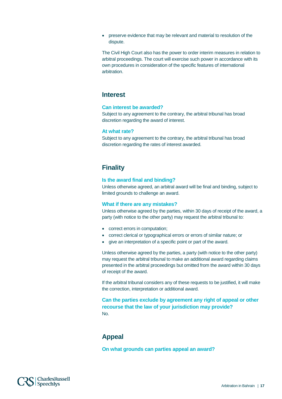• preserve evidence that may be relevant and material to resolution of the dispute.

The Civil High Court also has the power to order interim measures in relation to arbitral proceedings. The court will exercise such power in accordance with its own procedures in consideration of the specific features of international arbitration.

### **Interest**

#### **Can interest be awarded?**

Subject to any agreement to the contrary, the arbitral tribunal has broad discretion regarding the award of interest.

#### **At what rate?**

Subject to any agreement to the contrary, the arbitral tribunal has broad discretion regarding the rates of interest awarded.

# **Finality**

#### **Is the award final and binding?**

Unless otherwise agreed, an arbitral award will be final and binding, subject to limited grounds to challenge an award.

#### **What if there are any mistakes?**

Unless otherwise agreed by the parties, within 30 days of receipt of the award, a party (with notice to the other party) may request the arbitral tribunal to:

- correct errors in computation;
- correct clerical or typographical errors or errors of similar nature; or
- give an interpretation of a specific point or part of the award.

Unless otherwise agreed by the parties, a party (with notice to the other party) may request the arbitral tribunal to make an additional award regarding claims presented in the arbitral proceedings but omitted from the award within 30 days of receipt of the award.

If the arbitral tribunal considers any of these requests to be justified, it will make the correction, interpretation or additional award.

**Can the parties exclude by agreement any right of appeal or other recourse that the law of your jurisdiction may provide?** No.

# **Appeal**

**On what grounds can parties appeal an award?**

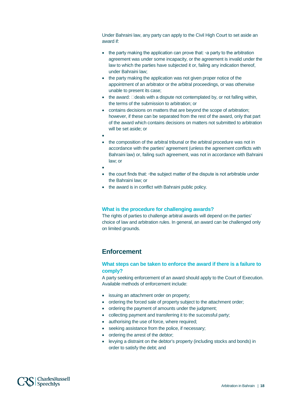Under Bahraini law, any party can apply to the Civil High Court to set aside an award if:

- the party making the application can prove that: ∘a party to the arbitration agreement was under some incapacity, or the agreement is invalid under the law to which the parties have subjected it or, failing any indication thereof, under Bahraini law;
- the party making the application was not given proper notice of the appointment of an arbitrator or the arbitral proceedings, or was otherwise unable to present its case;
- $\bullet$  the award:  $\Box$  deals with a dispute not contemplated by, or not falling within, the terms of the submission to arbitration; or
- contains decisions on matters that are beyond the scope of arbitration; however, if these can be separated from the rest of the award, only that part of the award which contains decisions on matters not submitted to arbitration will be set aside; or
- •
- the composition of the arbitral tribunal or the arbitral procedure was not in accordance with the parties' agreement (unless the agreement conflicts with Bahraini law) or, failing such agreement, was not in accordance with Bahraini law; or
- •
- the court finds that: ◦the subject matter of the dispute is not arbitrable under the Bahraini law; or
- the award is in conflict with Bahraini public policy.

### **What is the procedure for challenging awards?**

The rights of parties to challenge arbitral awards will depend on the parties' choice of law and arbitration rules. In general, an award can be challenged only on limited grounds.

# **Enforcement**

### **What steps can be taken to enforce the award if there is a failure to comply?**

A party seeking enforcement of an award should apply to the Court of Execution. Available methods of enforcement include:

- issuing an attachment order on property;
- ordering the forced sale of property subject to the attachment order;
- ordering the payment of amounts under the judgment;
- collecting payment and transferring it to the successful party;
- authorising the use of force, where required;
- seeking assistance from the police, if necessary;
- ordering the arrest of the debtor;
- levying a distraint on the debtor's property (including stocks and bonds) in order to satisfy the debt; and

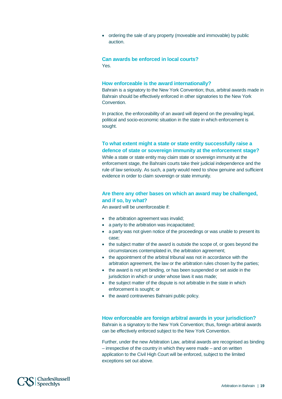• ordering the sale of any property (moveable and immovable) by public auction.

### **Can awards be enforced in local courts?** Yes.

#### **How enforceable is the award internationally?**

Bahrain is a signatory to the New York Convention; thus, arbitral awards made in Bahrain should be effectively enforced in other signatories to the New York Convention.

In practice, the enforceability of an award will depend on the prevailing legal, political and socio-economic situation in the state in which enforcement is sought.

### **To what extent might a state or state entity successfully raise a defence of state or sovereign immunity at the enforcement stage?**

While a state or state entity may claim state or sovereign immunity at the enforcement stage, the Bahraini courts take their judicial independence and the rule of law seriously. As such, a party would need to show genuine and sufficient evidence in order to claim sovereign or state immunity.

### **Are there any other bases on which an award may be challenged, and if so, by what?**

An award will be unenforceable if:

- the arbitration agreement was invalid;
- a party to the arbitration was incapacitated;
- a party was not given notice of the proceedings or was unable to present its case;
- the subject matter of the award is outside the scope of, or goes beyond the circumstances contemplated in, the arbitration agreement;
- the appointment of the arbitral tribunal was not in accordance with the arbitration agreement, the law or the arbitration rules chosen by the parties;
- the award is not yet binding, or has been suspended or set aside in the jurisdiction in which or under whose laws it was made;
- the subject matter of the dispute is not arbitrable in the state in which enforcement is sought; or
- the award contravenes Bahraini public policy.

#### **How enforceable are foreign arbitral awards in your jurisdiction?**

Bahrain is a signatory to the New York Convention; thus, foreign arbitral awards can be effectively enforced subject to the New York Convention.

Further, under the new Arbitration Law, arbitral awards are recognised as binding – irrespective of the country in which they were made – and on written application to the Civil High Court will be enforced, subject to the limited exceptions set out above.

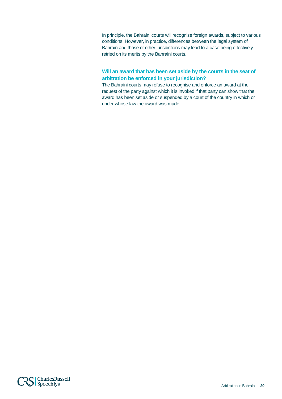In principle, the Bahraini courts will recognise foreign awards, subject to various conditions. However, in practice, differences between the legal system of Bahrain and those of other jurisdictions may lead to a case being effectively retried on its merits by the Bahraini courts.

### **Will an award that has been set aside by the courts in the seat of arbitration be enforced in your jurisdiction?**

The Bahraini courts may refuse to recognise and enforce an award at the request of the party against which it is invoked if that party can show that the award has been set aside or suspended by a court of the country in which or under whose law the award was made.

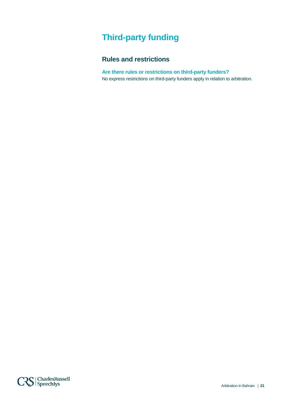# <span id="page-21-0"></span>**Third-party funding**

# **Rules and restrictions**

**Are there rules or restrictions on third-party funders?** No express restrictions on third-party funders apply in relation to arbitration.

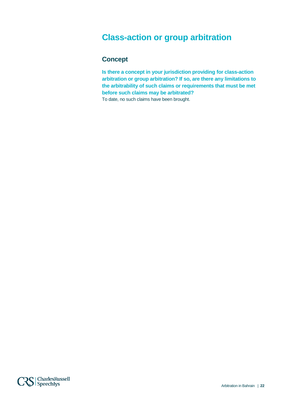# <span id="page-22-0"></span>**Class-action or group arbitration**

# **Concept**

**Is there a concept in your jurisdiction providing for class-action arbitration or group arbitration? If so, are there any limitations to the arbitrability of such claims or requirements that must be met before such claims may be arbitrated?** To date, no such claims have been brought.

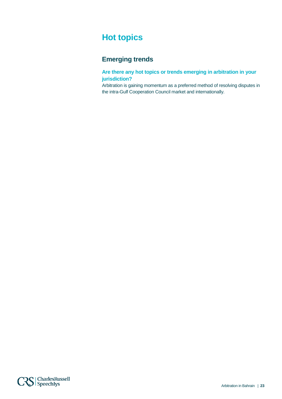# <span id="page-23-0"></span>**Hot topics**

# **Emerging trends**

**Are there any hot topics or trends emerging in arbitration in your jurisdiction?**

Arbitration is gaining momentum as a preferred method of resolving disputes in the intra-Gulf Cooperation Council market and internationally.